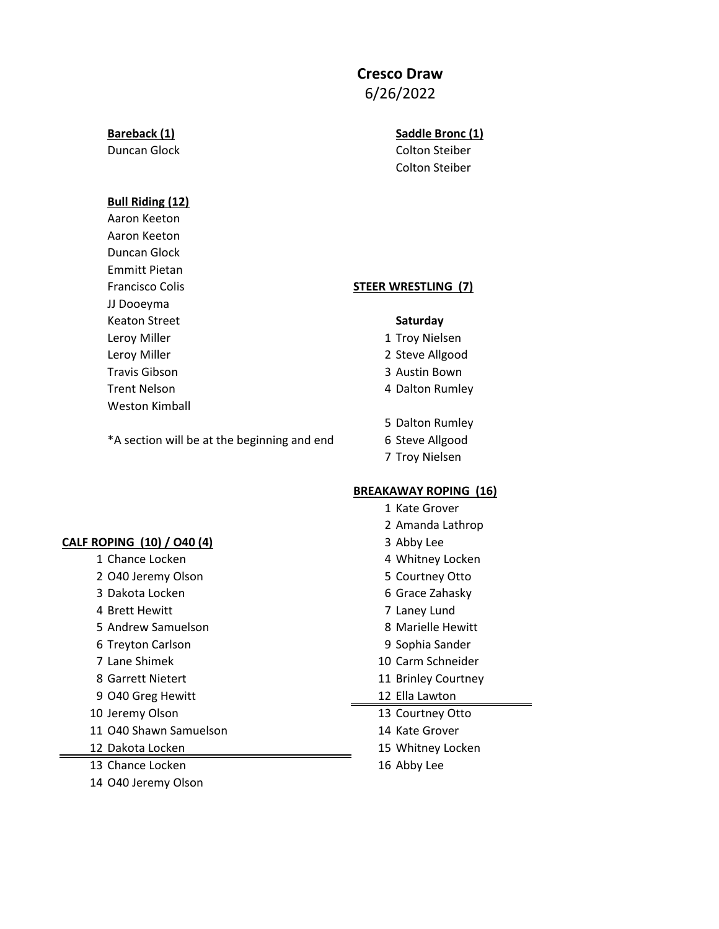# **Cresco Draw**

6/26/2022

### **Bull Riding (12)**

Aaron Keeton Aaron Keeton Duncan Glock Emmitt Pietan Francisco Colis **STEER WRESTLING (7)** JJ Dooeyma Keaton Street **Saturday** Leroy Miller **1 Troy Nielsen** Leroy Miller **2 Steve Allgood** Travis Gibson 3 Austin Bown Trent Nelson **4 Dalton Rumley** Weston Kimball

- 
- 
- 
- 
- 5 Dalton Rumley
- \*A section will be at the beginning and end 6 Steve Allgood
	- 7 Troy Nielsen

## **BREAKAWAY ROPING (16)**

|                            | 1 Kate Grover       |
|----------------------------|---------------------|
|                            | 2 Amanda Lathrop    |
| CALF ROPING (10) / 040 (4) | 3 Abby Lee          |
| 1 Chance Locken            | 4 Whitney Locken    |
| 2 O40 Jeremy Olson         | 5 Courtney Otto     |
| 3 Dakota Locken            | 6 Grace Zahasky     |
| 4 Brett Hewitt             | 7 Laney Lund        |
| 5 Andrew Samuelson         | 8 Marielle Hewitt   |
| 6 Treyton Carlson          | 9 Sophia Sander     |
| 7 Lane Shimek              | 10 Carm Schneider   |
| 8 Garrett Nietert          | 11 Brinley Courtney |
| 9 O40 Greg Hewitt          | 12 Ella Lawton      |
| 10 Jeremy Olson            | 13 Courtney Otto    |
| 11 O40 Shawn Samuelson     | 14 Kate Grover      |
| 12 Dakota Locken           | 15 Whitney Locken   |
| 13 Chance Locken           | 16 Abby Lee         |
| 14 O40 Jeremy Olson        |                     |

**Bareback (1) Saddle Bronc (1) Saddle Bronc (1)** Duncan Glock Colton Steiber Colton Steiber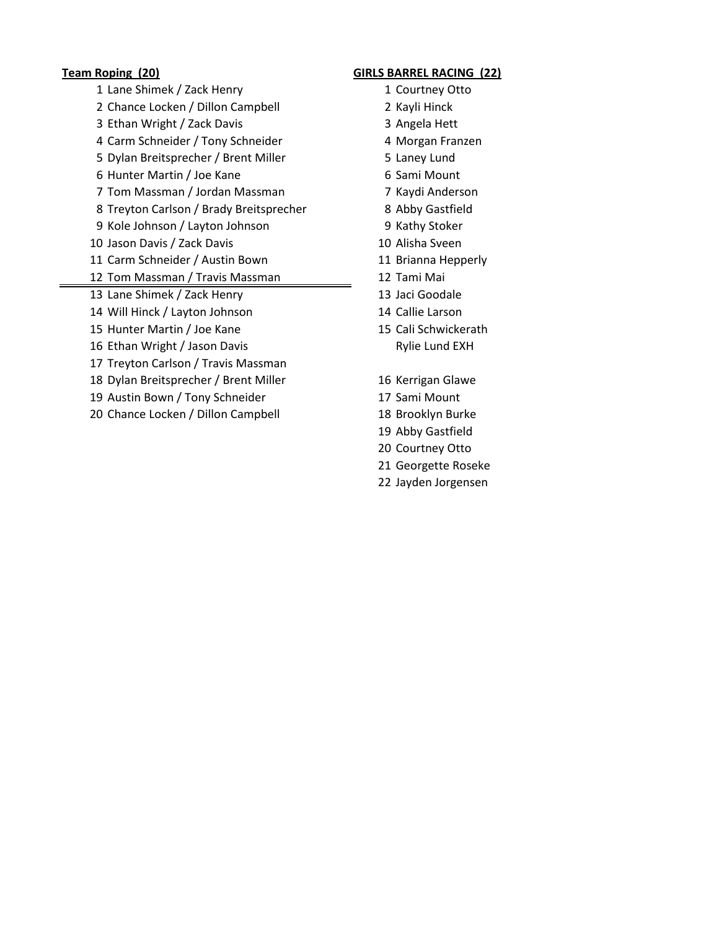- 1 Lane Shimek / Zack Henry 1 Courtney Otto 2 Chance Locken / Dillon Campbell 2 Kayli Hinck 3 Ethan Wright / Zack Davis 3 Angela Hett 4 Carm Schneider / Tony Schneider 4 Morgan Franzen 5 Dylan Breitsprecher / Brent Miller 5 Laney Lund 6 Hunter Martin / Joe Kane **6 Sami Mount** 7 Tom Massman / Jordan Massman 7 Kaydi Anderson 8 Treyton Carlson / Brady Breitsprecher 8 Abby Gastfield 9 Kole Johnson / Layton Johnson 9 Kathy Stoker 10 Jason Davis / Zack Davis 10 Alisha Sveen 11 Carm Schneider / Austin Bown 11 Brianna Hepperly 12 Tom Massman / Travis Massman 12 Tami Mai 13 Lane Shimek / Zack Henry 13 Jaci Goodale 14 Will Hinck / Layton Johnson 14 Callie Larson 15 Hunter Martin / Joe Kane 15 Cali Schwickerath 16 Ethan Wright / Jason Davis **Rylie Lund EXH** 17 Treyton Carlson / Travis Massman 18 Dylan Breitsprecher / Brent Miller 16 Kerrigan Glawe 19 Austin Bown / Tony Schneider 17 Sami Mount
- 20 Chance Locken / Dillon Campbell 18 Brooklyn Burke

### **Team Roping (20) GIRLS BARREL RACING (22)**

- 
- 
- 
- 
- 
- 
- 
- 
- 
- 
- 
- 
- 
- 
- 
- 
- 
- 
- 19 Abby Gastfield
- 20 Courtney Otto
- 21 Georgette Roseke
- 22 Jayden Jorgensen